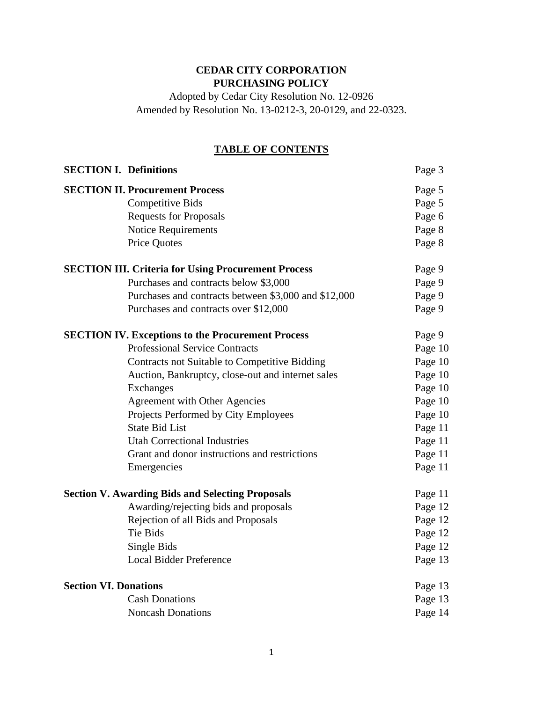# **CEDAR CITY CORPORATION PURCHASING POLICY**

Adopted by Cedar City Resolution No. 12-0926 Amended by Resolution No. 13-0212-3, 20-0129, and 22-0323.

# **TABLE OF CONTENTS**

| <b>SECTION I. Definitions</b> |                                                            | Page 3  |
|-------------------------------|------------------------------------------------------------|---------|
|                               | <b>SECTION II. Procurement Process</b>                     | Page 5  |
|                               | <b>Competitive Bids</b>                                    | Page 5  |
|                               | <b>Requests for Proposals</b>                              | Page 6  |
|                               | <b>Notice Requirements</b>                                 | Page 8  |
|                               | <b>Price Quotes</b>                                        | Page 8  |
|                               | <b>SECTION III. Criteria for Using Procurement Process</b> | Page 9  |
|                               | Purchases and contracts below \$3,000                      | Page 9  |
|                               | Purchases and contracts between \$3,000 and \$12,000       | Page 9  |
|                               | Purchases and contracts over \$12,000                      | Page 9  |
|                               | <b>SECTION IV. Exceptions to the Procurement Process</b>   | Page 9  |
|                               | <b>Professional Service Contracts</b>                      | Page 10 |
|                               | Contracts not Suitable to Competitive Bidding              | Page 10 |
|                               | Auction, Bankruptcy, close-out and internet sales          | Page 10 |
|                               | Exchanges                                                  | Page 10 |
|                               | <b>Agreement with Other Agencies</b>                       | Page 10 |
|                               | Projects Performed by City Employees                       | Page 10 |
|                               | <b>State Bid List</b>                                      | Page 11 |
|                               | <b>Utah Correctional Industries</b>                        | Page 11 |
|                               | Grant and donor instructions and restrictions              | Page 11 |
|                               | Emergencies                                                | Page 11 |
|                               | <b>Section V. Awarding Bids and Selecting Proposals</b>    | Page 11 |
|                               | Awarding/rejecting bids and proposals                      | Page 12 |
|                               | Rejection of all Bids and Proposals                        | Page 12 |
|                               | Tie Bids                                                   | Page 12 |
|                               | Single Bids                                                | Page 12 |
|                               | <b>Local Bidder Preference</b>                             | Page 13 |
| <b>Section VI. Donations</b>  |                                                            | Page 13 |
|                               | <b>Cash Donations</b>                                      | Page 13 |
|                               | <b>Noncash Donations</b>                                   | Page 14 |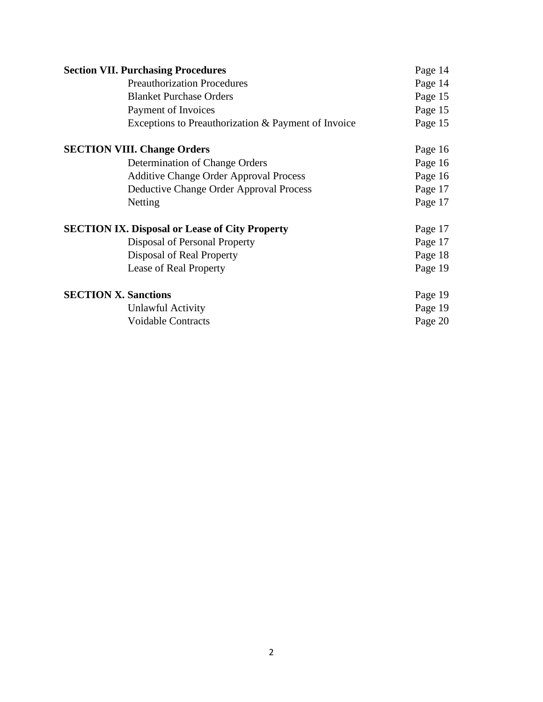| <b>Section VII. Purchasing Procedures</b>             |         |
|-------------------------------------------------------|---------|
| <b>Preauthorization Procedures</b>                    | Page 14 |
| <b>Blanket Purchase Orders</b>                        | Page 15 |
| Payment of Invoices                                   | Page 15 |
| Exceptions to Preauthorization & Payment of Invoice   | Page 15 |
| <b>SECTION VIII. Change Orders</b>                    | Page 16 |
| Determination of Change Orders                        | Page 16 |
| <b>Additive Change Order Approval Process</b>         | Page 16 |
| Deductive Change Order Approval Process               | Page 17 |
| Netting                                               | Page 17 |
| <b>SECTION IX. Disposal or Lease of City Property</b> | Page 17 |
| Disposal of Personal Property                         | Page 17 |
| Disposal of Real Property                             | Page 18 |
| Lease of Real Property                                | Page 19 |
| <b>SECTION X. Sanctions</b>                           | Page 19 |
| Unlawful Activity                                     | Page 19 |
| <b>Voidable Contracts</b>                             | Page 20 |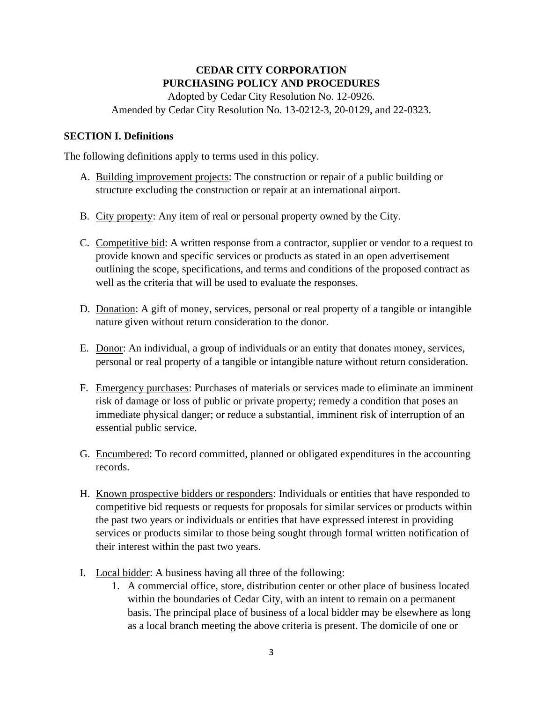# **CEDAR CITY CORPORATION PURCHASING POLICY AND PROCEDURES**

Adopted by Cedar City Resolution No. 12-0926. Amended by Cedar City Resolution No. 13-0212-3, 20-0129, and 22-0323.

### **SECTION I. Definitions**

The following definitions apply to terms used in this policy.

- A. Building improvement projects: The construction or repair of a public building or structure excluding the construction or repair at an international airport.
- B. City property: Any item of real or personal property owned by the City.
- C. Competitive bid: A written response from a contractor, supplier or vendor to a request to provide known and specific services or products as stated in an open advertisement outlining the scope, specifications, and terms and conditions of the proposed contract as well as the criteria that will be used to evaluate the responses.
- D. Donation: A gift of money, services, personal or real property of a tangible or intangible nature given without return consideration to the donor.
- E. Donor: An individual, a group of individuals or an entity that donates money, services, personal or real property of a tangible or intangible nature without return consideration.
- F. Emergency purchases: Purchases of materials or services made to eliminate an imminent risk of damage or loss of public or private property; remedy a condition that poses an immediate physical danger; or reduce a substantial, imminent risk of interruption of an essential public service.
- G. Encumbered: To record committed, planned or obligated expenditures in the accounting records.
- H. Known prospective bidders or responders: Individuals or entities that have responded to competitive bid requests or requests for proposals for similar services or products within the past two years or individuals or entities that have expressed interest in providing services or products similar to those being sought through formal written notification of their interest within the past two years.
- I. Local bidder: A business having all three of the following:
	- 1. A commercial office, store, distribution center or other place of business located within the boundaries of Cedar City, with an intent to remain on a permanent basis. The principal place of business of a local bidder may be elsewhere as long as a local branch meeting the above criteria is present. The domicile of one or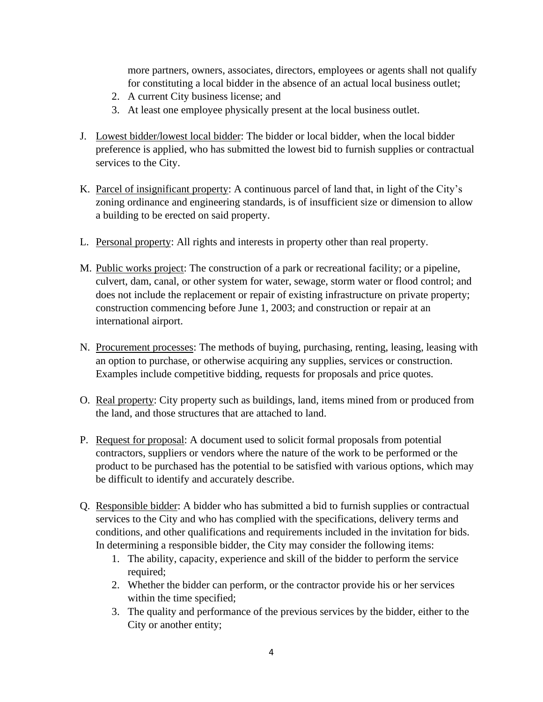more partners, owners, associates, directors, employees or agents shall not qualify for constituting a local bidder in the absence of an actual local business outlet;

- 2. A current City business license; and
- 3. At least one employee physically present at the local business outlet.
- J. Lowest bidder/lowest local bidder: The bidder or local bidder, when the local bidder preference is applied, who has submitted the lowest bid to furnish supplies or contractual services to the City.
- K. Parcel of insignificant property: A continuous parcel of land that, in light of the City's zoning ordinance and engineering standards, is of insufficient size or dimension to allow a building to be erected on said property.
- L. Personal property: All rights and interests in property other than real property.
- M. Public works project: The construction of a park or recreational facility; or a pipeline, culvert, dam, canal, or other system for water, sewage, storm water or flood control; and does not include the replacement or repair of existing infrastructure on private property; construction commencing before June 1, 2003; and construction or repair at an international airport.
- N. Procurement processes: The methods of buying, purchasing, renting, leasing, leasing with an option to purchase, or otherwise acquiring any supplies, services or construction. Examples include competitive bidding, requests for proposals and price quotes.
- O. Real property: City property such as buildings, land, items mined from or produced from the land, and those structures that are attached to land.
- P. Request for proposal: A document used to solicit formal proposals from potential contractors, suppliers or vendors where the nature of the work to be performed or the product to be purchased has the potential to be satisfied with various options, which may be difficult to identify and accurately describe.
- Q. Responsible bidder: A bidder who has submitted a bid to furnish supplies or contractual services to the City and who has complied with the specifications, delivery terms and conditions, and other qualifications and requirements included in the invitation for bids. In determining a responsible bidder, the City may consider the following items:
	- 1. The ability, capacity, experience and skill of the bidder to perform the service required;
	- 2. Whether the bidder can perform, or the contractor provide his or her services within the time specified;
	- 3. The quality and performance of the previous services by the bidder, either to the City or another entity;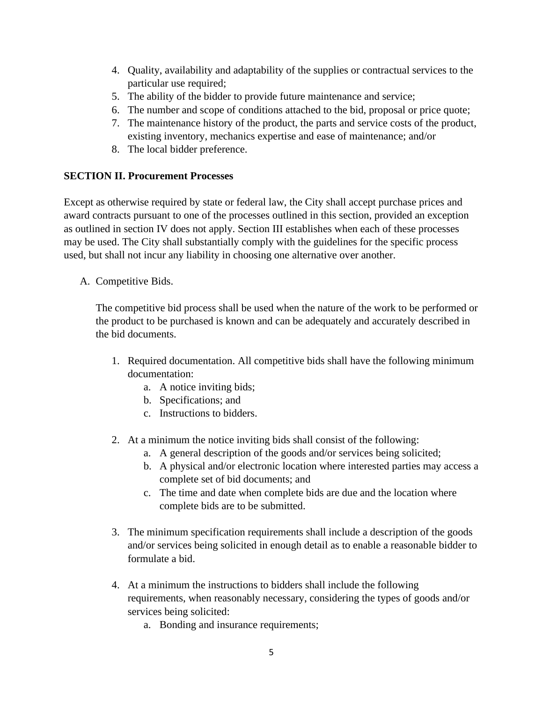- 4. Quality, availability and adaptability of the supplies or contractual services to the particular use required;
- 5. The ability of the bidder to provide future maintenance and service;
- 6. The number and scope of conditions attached to the bid, proposal or price quote;
- 7. The maintenance history of the product, the parts and service costs of the product, existing inventory, mechanics expertise and ease of maintenance; and/or
- 8. The local bidder preference.

### **SECTION II. Procurement Processes**

Except as otherwise required by state or federal law, the City shall accept purchase prices and award contracts pursuant to one of the processes outlined in this section, provided an exception as outlined in section IV does not apply. Section III establishes when each of these processes may be used. The City shall substantially comply with the guidelines for the specific process used, but shall not incur any liability in choosing one alternative over another.

A. Competitive Bids.

The competitive bid process shall be used when the nature of the work to be performed or the product to be purchased is known and can be adequately and accurately described in the bid documents.

- 1. Required documentation. All competitive bids shall have the following minimum documentation:
	- a. A notice inviting bids;
	- b. Specifications; and
	- c. Instructions to bidders.
- 2. At a minimum the notice inviting bids shall consist of the following:
	- a. A general description of the goods and/or services being solicited;
	- b. A physical and/or electronic location where interested parties may access a complete set of bid documents; and
	- c. The time and date when complete bids are due and the location where complete bids are to be submitted.
- 3. The minimum specification requirements shall include a description of the goods and/or services being solicited in enough detail as to enable a reasonable bidder to formulate a bid.
- 4. At a minimum the instructions to bidders shall include the following requirements, when reasonably necessary, considering the types of goods and/or services being solicited:
	- a. Bonding and insurance requirements;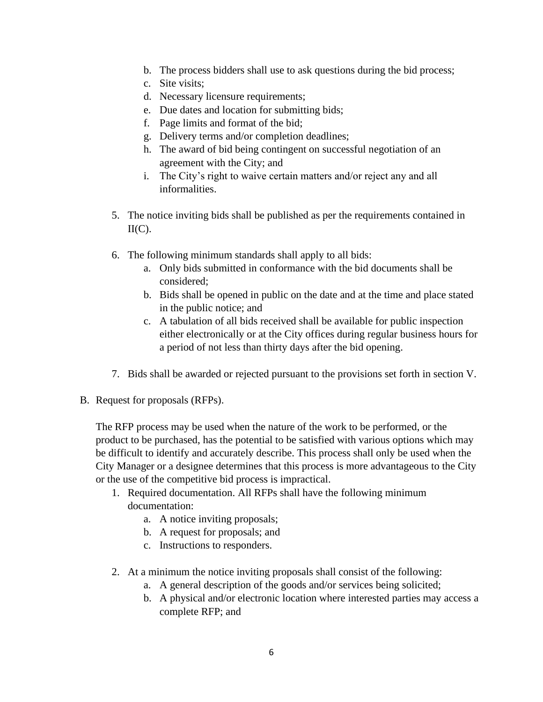- b. The process bidders shall use to ask questions during the bid process;
- c. Site visits;
- d. Necessary licensure requirements;
- e. Due dates and location for submitting bids;
- f. Page limits and format of the bid;
- g. Delivery terms and/or completion deadlines;
- h. The award of bid being contingent on successful negotiation of an agreement with the City; and
- i. The City's right to waive certain matters and/or reject any and all informalities.
- 5. The notice inviting bids shall be published as per the requirements contained in  $II(C)$ .
- 6. The following minimum standards shall apply to all bids:
	- a. Only bids submitted in conformance with the bid documents shall be considered;
	- b. Bids shall be opened in public on the date and at the time and place stated in the public notice; and
	- c. A tabulation of all bids received shall be available for public inspection either electronically or at the City offices during regular business hours for a period of not less than thirty days after the bid opening.
- 7. Bids shall be awarded or rejected pursuant to the provisions set forth in section V.
- B. Request for proposals (RFPs).

The RFP process may be used when the nature of the work to be performed, or the product to be purchased, has the potential to be satisfied with various options which may be difficult to identify and accurately describe. This process shall only be used when the City Manager or a designee determines that this process is more advantageous to the City or the use of the competitive bid process is impractical.

- 1. Required documentation. All RFPs shall have the following minimum documentation:
	- a. A notice inviting proposals;
	- b. A request for proposals; and
	- c. Instructions to responders.
- 2. At a minimum the notice inviting proposals shall consist of the following:
	- a. A general description of the goods and/or services being solicited;
	- b. A physical and/or electronic location where interested parties may access a complete RFP; and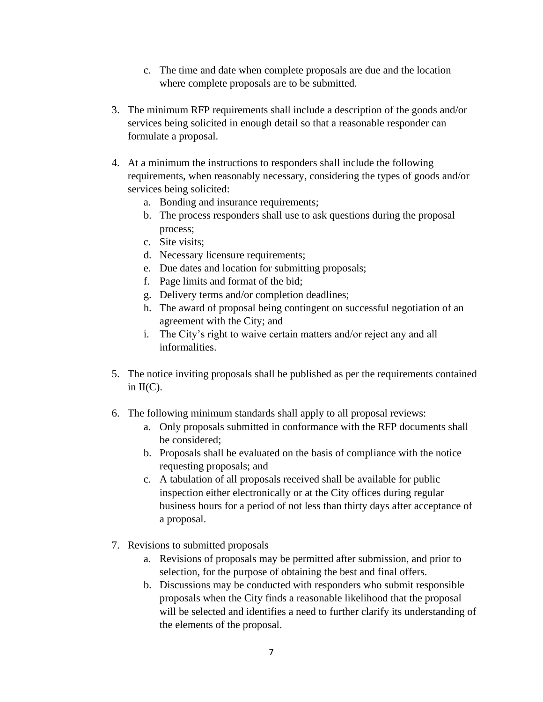- c. The time and date when complete proposals are due and the location where complete proposals are to be submitted.
- 3. The minimum RFP requirements shall include a description of the goods and/or services being solicited in enough detail so that a reasonable responder can formulate a proposal.
- 4. At a minimum the instructions to responders shall include the following requirements, when reasonably necessary, considering the types of goods and/or services being solicited:
	- a. Bonding and insurance requirements;
	- b. The process responders shall use to ask questions during the proposal process;
	- c. Site visits;
	- d. Necessary licensure requirements;
	- e. Due dates and location for submitting proposals;
	- f. Page limits and format of the bid;
	- g. Delivery terms and/or completion deadlines;
	- h. The award of proposal being contingent on successful negotiation of an agreement with the City; and
	- i. The City's right to waive certain matters and/or reject any and all informalities.
- 5. The notice inviting proposals shall be published as per the requirements contained in  $II(C)$ .
- 6. The following minimum standards shall apply to all proposal reviews:
	- a. Only proposals submitted in conformance with the RFP documents shall be considered;
	- b. Proposals shall be evaluated on the basis of compliance with the notice requesting proposals; and
	- c. A tabulation of all proposals received shall be available for public inspection either electronically or at the City offices during regular business hours for a period of not less than thirty days after acceptance of a proposal.
- 7. Revisions to submitted proposals
	- a. Revisions of proposals may be permitted after submission, and prior to selection, for the purpose of obtaining the best and final offers.
	- b. Discussions may be conducted with responders who submit responsible proposals when the City finds a reasonable likelihood that the proposal will be selected and identifies a need to further clarify its understanding of the elements of the proposal.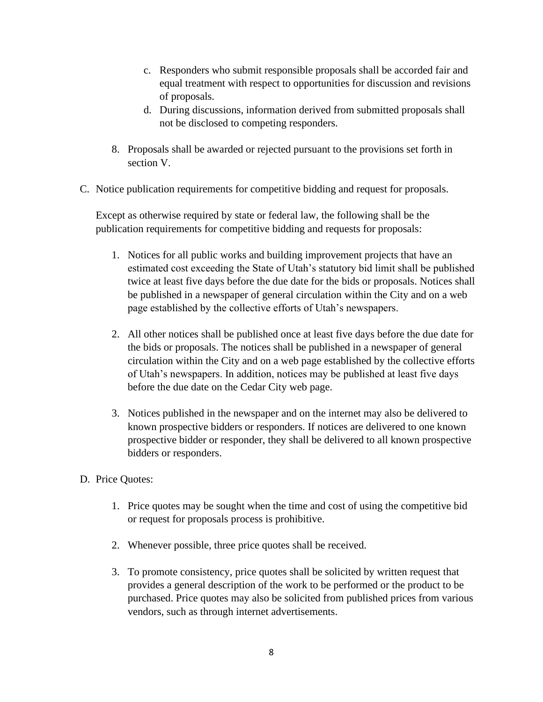- c. Responders who submit responsible proposals shall be accorded fair and equal treatment with respect to opportunities for discussion and revisions of proposals.
- d. During discussions, information derived from submitted proposals shall not be disclosed to competing responders.
- 8. Proposals shall be awarded or rejected pursuant to the provisions set forth in section V.
- C. Notice publication requirements for competitive bidding and request for proposals.

Except as otherwise required by state or federal law, the following shall be the publication requirements for competitive bidding and requests for proposals:

- 1. Notices for all public works and building improvement projects that have an estimated cost exceeding the State of Utah's statutory bid limit shall be published twice at least five days before the due date for the bids or proposals. Notices shall be published in a newspaper of general circulation within the City and on a web page established by the collective efforts of Utah's newspapers.
- 2. All other notices shall be published once at least five days before the due date for the bids or proposals. The notices shall be published in a newspaper of general circulation within the City and on a web page established by the collective efforts of Utah's newspapers. In addition, notices may be published at least five days before the due date on the Cedar City web page.
- 3. Notices published in the newspaper and on the internet may also be delivered to known prospective bidders or responders. If notices are delivered to one known prospective bidder or responder, they shall be delivered to all known prospective bidders or responders.
- D. Price Quotes:
	- 1. Price quotes may be sought when the time and cost of using the competitive bid or request for proposals process is prohibitive.
	- 2. Whenever possible, three price quotes shall be received.
	- 3. To promote consistency, price quotes shall be solicited by written request that provides a general description of the work to be performed or the product to be purchased. Price quotes may also be solicited from published prices from various vendors, such as through internet advertisements.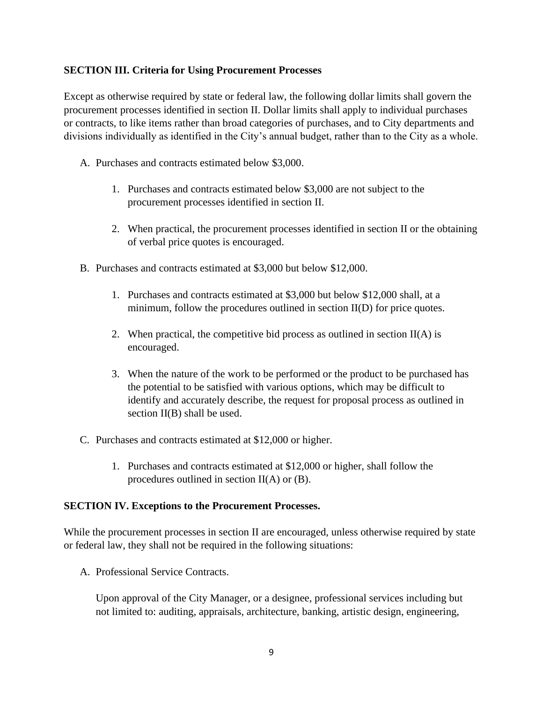### **SECTION III. Criteria for Using Procurement Processes**

Except as otherwise required by state or federal law, the following dollar limits shall govern the procurement processes identified in section II. Dollar limits shall apply to individual purchases or contracts, to like items rather than broad categories of purchases, and to City departments and divisions individually as identified in the City's annual budget, rather than to the City as a whole.

- A. Purchases and contracts estimated below \$3,000.
	- 1. Purchases and contracts estimated below \$3,000 are not subject to the procurement processes identified in section II.
	- 2. When practical, the procurement processes identified in section II or the obtaining of verbal price quotes is encouraged.
- B. Purchases and contracts estimated at \$3,000 but below \$12,000.
	- 1. Purchases and contracts estimated at \$3,000 but below \$12,000 shall, at a minimum, follow the procedures outlined in section II(D) for price quotes.
	- 2. When practical, the competitive bid process as outlined in section  $II(A)$  is encouraged.
	- 3. When the nature of the work to be performed or the product to be purchased has the potential to be satisfied with various options, which may be difficult to identify and accurately describe, the request for proposal process as outlined in section II(B) shall be used.
- C. Purchases and contracts estimated at \$12,000 or higher.
	- 1. Purchases and contracts estimated at \$12,000 or higher, shall follow the procedures outlined in section II(A) or (B).

#### **SECTION IV. Exceptions to the Procurement Processes.**

While the procurement processes in section II are encouraged, unless otherwise required by state or federal law, they shall not be required in the following situations:

A. Professional Service Contracts.

Upon approval of the City Manager, or a designee, professional services including but not limited to: auditing, appraisals, architecture, banking, artistic design, engineering,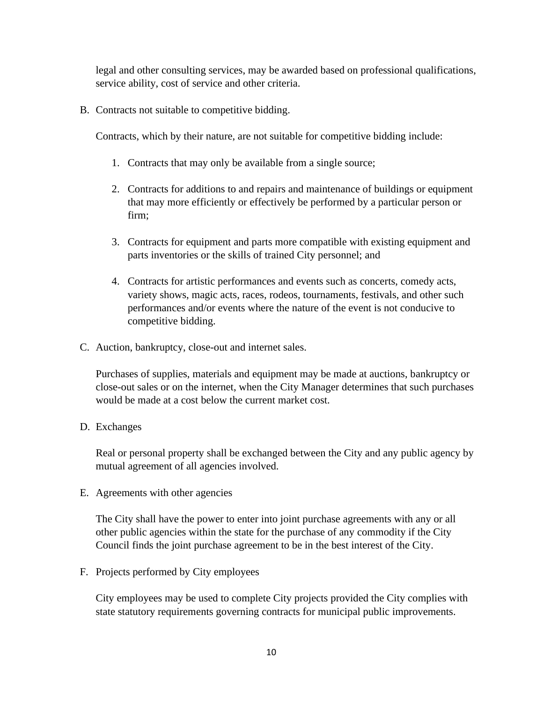legal and other consulting services, may be awarded based on professional qualifications, service ability, cost of service and other criteria.

B. Contracts not suitable to competitive bidding.

Contracts, which by their nature, are not suitable for competitive bidding include:

- 1. Contracts that may only be available from a single source;
- 2. Contracts for additions to and repairs and maintenance of buildings or equipment that may more efficiently or effectively be performed by a particular person or firm;
- 3. Contracts for equipment and parts more compatible with existing equipment and parts inventories or the skills of trained City personnel; and
- 4. Contracts for artistic performances and events such as concerts, comedy acts, variety shows, magic acts, races, rodeos, tournaments, festivals, and other such performances and/or events where the nature of the event is not conducive to competitive bidding.
- C. Auction, bankruptcy, close-out and internet sales.

Purchases of supplies, materials and equipment may be made at auctions, bankruptcy or close-out sales or on the internet, when the City Manager determines that such purchases would be made at a cost below the current market cost.

D. Exchanges

Real or personal property shall be exchanged between the City and any public agency by mutual agreement of all agencies involved.

E. Agreements with other agencies

The City shall have the power to enter into joint purchase agreements with any or all other public agencies within the state for the purchase of any commodity if the City Council finds the joint purchase agreement to be in the best interest of the City.

F. Projects performed by City employees

City employees may be used to complete City projects provided the City complies with state statutory requirements governing contracts for municipal public improvements.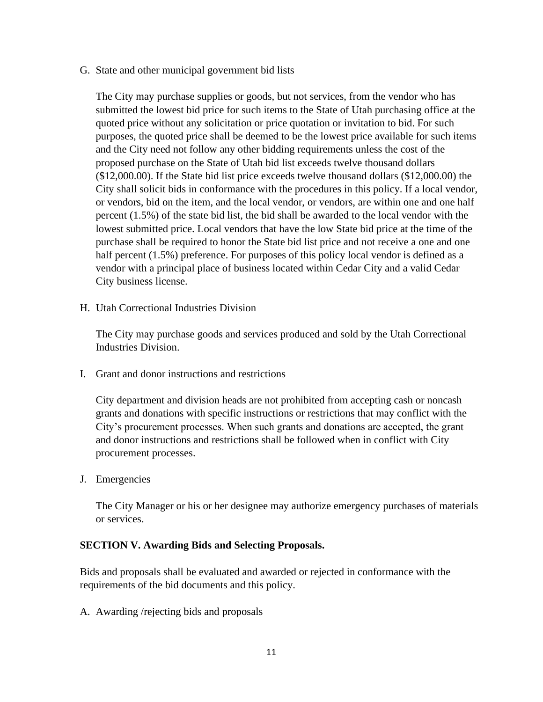G. State and other municipal government bid lists

The City may purchase supplies or goods, but not services, from the vendor who has submitted the lowest bid price for such items to the State of Utah purchasing office at the quoted price without any solicitation or price quotation or invitation to bid. For such purposes, the quoted price shall be deemed to be the lowest price available for such items and the City need not follow any other bidding requirements unless the cost of the proposed purchase on the State of Utah bid list exceeds twelve thousand dollars (\$12,000.00). If the State bid list price exceeds twelve thousand dollars (\$12,000.00) the City shall solicit bids in conformance with the procedures in this policy. If a local vendor, or vendors, bid on the item, and the local vendor, or vendors, are within one and one half percent (1.5%) of the state bid list, the bid shall be awarded to the local vendor with the lowest submitted price. Local vendors that have the low State bid price at the time of the purchase shall be required to honor the State bid list price and not receive a one and one half percent (1.5%) preference. For purposes of this policy local vendor is defined as a vendor with a principal place of business located within Cedar City and a valid Cedar City business license.

H. Utah Correctional Industries Division

The City may purchase goods and services produced and sold by the Utah Correctional Industries Division.

I. Grant and donor instructions and restrictions

City department and division heads are not prohibited from accepting cash or noncash grants and donations with specific instructions or restrictions that may conflict with the City's procurement processes. When such grants and donations are accepted, the grant and donor instructions and restrictions shall be followed when in conflict with City procurement processes.

J. Emergencies

The City Manager or his or her designee may authorize emergency purchases of materials or services.

### **SECTION V. Awarding Bids and Selecting Proposals.**

Bids and proposals shall be evaluated and awarded or rejected in conformance with the requirements of the bid documents and this policy.

A. Awarding /rejecting bids and proposals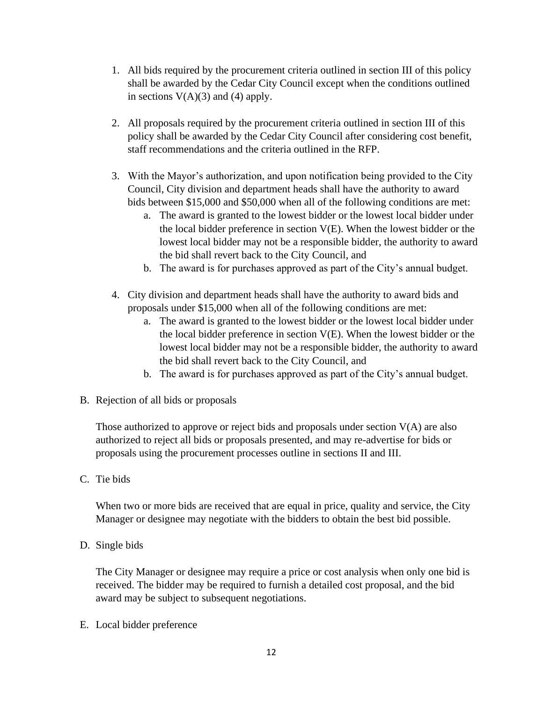- 1. All bids required by the procurement criteria outlined in section III of this policy shall be awarded by the Cedar City Council except when the conditions outlined in sections  $V(A)(3)$  and (4) apply.
- 2. All proposals required by the procurement criteria outlined in section III of this policy shall be awarded by the Cedar City Council after considering cost benefit, staff recommendations and the criteria outlined in the RFP.
- 3. With the Mayor's authorization, and upon notification being provided to the City Council, City division and department heads shall have the authority to award bids between \$15,000 and \$50,000 when all of the following conditions are met:
	- a. The award is granted to the lowest bidder or the lowest local bidder under the local bidder preference in section V(E). When the lowest bidder or the lowest local bidder may not be a responsible bidder, the authority to award the bid shall revert back to the City Council, and
	- b. The award is for purchases approved as part of the City's annual budget.
- 4. City division and department heads shall have the authority to award bids and proposals under \$15,000 when all of the following conditions are met:
	- a. The award is granted to the lowest bidder or the lowest local bidder under the local bidder preference in section V(E). When the lowest bidder or the lowest local bidder may not be a responsible bidder, the authority to award the bid shall revert back to the City Council, and
	- b. The award is for purchases approved as part of the City's annual budget.
- B. Rejection of all bids or proposals

Those authorized to approve or reject bids and proposals under section  $V(A)$  are also authorized to reject all bids or proposals presented, and may re-advertise for bids or proposals using the procurement processes outline in sections II and III.

C. Tie bids

When two or more bids are received that are equal in price, quality and service, the City Manager or designee may negotiate with the bidders to obtain the best bid possible.

D. Single bids

The City Manager or designee may require a price or cost analysis when only one bid is received. The bidder may be required to furnish a detailed cost proposal, and the bid award may be subject to subsequent negotiations.

E. Local bidder preference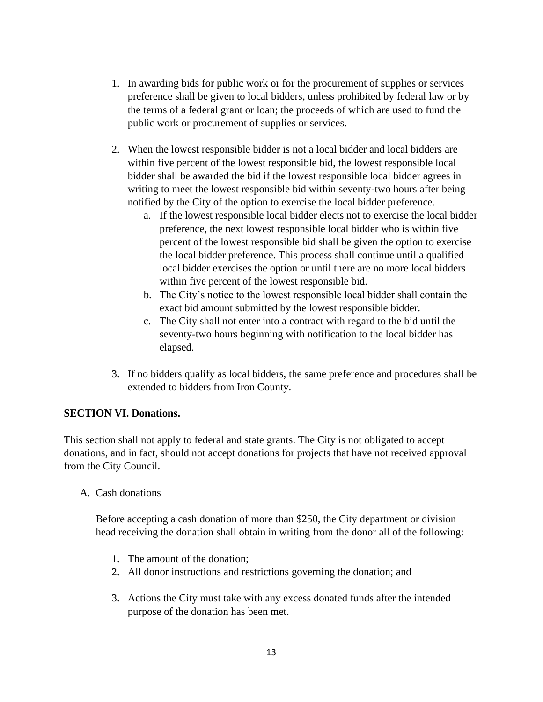- 1. In awarding bids for public work or for the procurement of supplies or services preference shall be given to local bidders, unless prohibited by federal law or by the terms of a federal grant or loan; the proceeds of which are used to fund the public work or procurement of supplies or services.
- 2. When the lowest responsible bidder is not a local bidder and local bidders are within five percent of the lowest responsible bid, the lowest responsible local bidder shall be awarded the bid if the lowest responsible local bidder agrees in writing to meet the lowest responsible bid within seventy-two hours after being notified by the City of the option to exercise the local bidder preference.
	- a. If the lowest responsible local bidder elects not to exercise the local bidder preference, the next lowest responsible local bidder who is within five percent of the lowest responsible bid shall be given the option to exercise the local bidder preference. This process shall continue until a qualified local bidder exercises the option or until there are no more local bidders within five percent of the lowest responsible bid.
	- b. The City's notice to the lowest responsible local bidder shall contain the exact bid amount submitted by the lowest responsible bidder.
	- c. The City shall not enter into a contract with regard to the bid until the seventy-two hours beginning with notification to the local bidder has elapsed.
- 3. If no bidders qualify as local bidders, the same preference and procedures shall be extended to bidders from Iron County.

### **SECTION VI. Donations.**

This section shall not apply to federal and state grants. The City is not obligated to accept donations, and in fact, should not accept donations for projects that have not received approval from the City Council.

A. Cash donations

Before accepting a cash donation of more than \$250, the City department or division head receiving the donation shall obtain in writing from the donor all of the following:

- 1. The amount of the donation;
- 2. All donor instructions and restrictions governing the donation; and
- 3. Actions the City must take with any excess donated funds after the intended purpose of the donation has been met.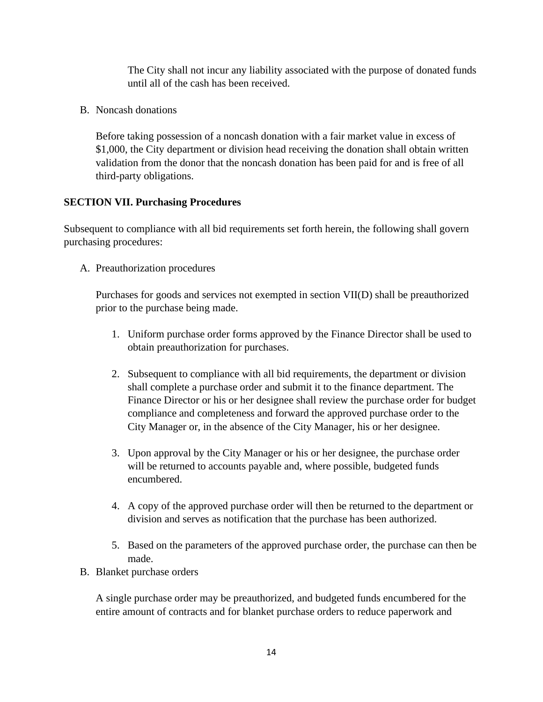The City shall not incur any liability associated with the purpose of donated funds until all of the cash has been received.

B. Noncash donations

Before taking possession of a noncash donation with a fair market value in excess of \$1,000, the City department or division head receiving the donation shall obtain written validation from the donor that the noncash donation has been paid for and is free of all third-party obligations.

## **SECTION VII. Purchasing Procedures**

Subsequent to compliance with all bid requirements set forth herein, the following shall govern purchasing procedures:

A. Preauthorization procedures

Purchases for goods and services not exempted in section VII(D) shall be preauthorized prior to the purchase being made.

- 1. Uniform purchase order forms approved by the Finance Director shall be used to obtain preauthorization for purchases.
- 2. Subsequent to compliance with all bid requirements, the department or division shall complete a purchase order and submit it to the finance department. The Finance Director or his or her designee shall review the purchase order for budget compliance and completeness and forward the approved purchase order to the City Manager or, in the absence of the City Manager, his or her designee.
- 3. Upon approval by the City Manager or his or her designee, the purchase order will be returned to accounts payable and, where possible, budgeted funds encumbered.
- 4. A copy of the approved purchase order will then be returned to the department or division and serves as notification that the purchase has been authorized.
- 5. Based on the parameters of the approved purchase order, the purchase can then be made.
- B. Blanket purchase orders

A single purchase order may be preauthorized, and budgeted funds encumbered for the entire amount of contracts and for blanket purchase orders to reduce paperwork and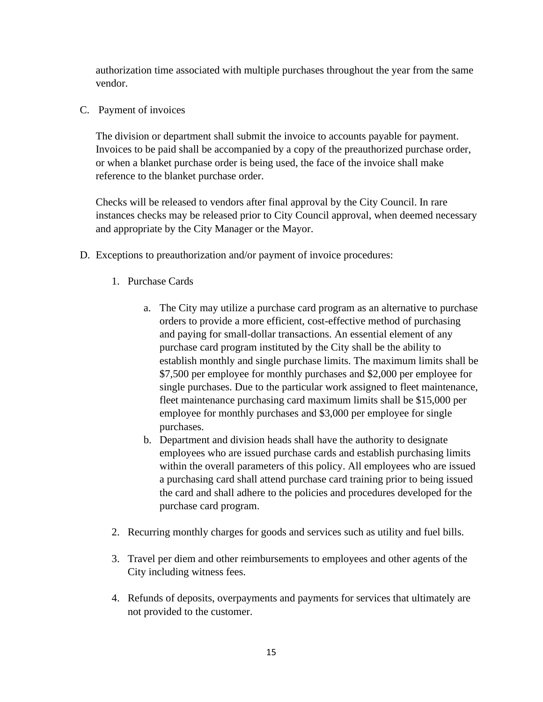authorization time associated with multiple purchases throughout the year from the same vendor.

C. Payment of invoices

The division or department shall submit the invoice to accounts payable for payment. Invoices to be paid shall be accompanied by a copy of the preauthorized purchase order, or when a blanket purchase order is being used, the face of the invoice shall make reference to the blanket purchase order.

Checks will be released to vendors after final approval by the City Council. In rare instances checks may be released prior to City Council approval, when deemed necessary and appropriate by the City Manager or the Mayor.

- D. Exceptions to preauthorization and/or payment of invoice procedures:
	- 1. Purchase Cards
		- a. The City may utilize a purchase card program as an alternative to purchase orders to provide a more efficient, cost-effective method of purchasing and paying for small-dollar transactions. An essential element of any purchase card program instituted by the City shall be the ability to establish monthly and single purchase limits. The maximum limits shall be \$7,500 per employee for monthly purchases and \$2,000 per employee for single purchases. Due to the particular work assigned to fleet maintenance, fleet maintenance purchasing card maximum limits shall be \$15,000 per employee for monthly purchases and \$3,000 per employee for single purchases.
		- b. Department and division heads shall have the authority to designate employees who are issued purchase cards and establish purchasing limits within the overall parameters of this policy. All employees who are issued a purchasing card shall attend purchase card training prior to being issued the card and shall adhere to the policies and procedures developed for the purchase card program.
	- 2. Recurring monthly charges for goods and services such as utility and fuel bills.
	- 3. Travel per diem and other reimbursements to employees and other agents of the City including witness fees.
	- 4. Refunds of deposits, overpayments and payments for services that ultimately are not provided to the customer.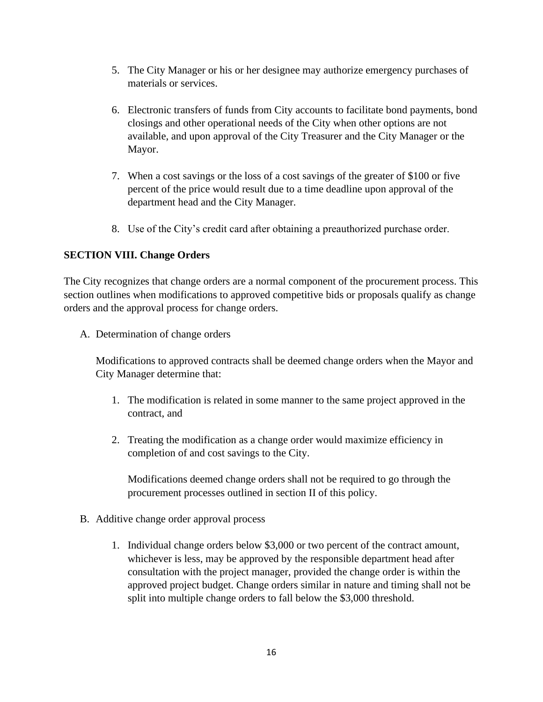- 5. The City Manager or his or her designee may authorize emergency purchases of materials or services.
- 6. Electronic transfers of funds from City accounts to facilitate bond payments, bond closings and other operational needs of the City when other options are not available, and upon approval of the City Treasurer and the City Manager or the Mayor.
- 7. When a cost savings or the loss of a cost savings of the greater of \$100 or five percent of the price would result due to a time deadline upon approval of the department head and the City Manager.
- 8. Use of the City's credit card after obtaining a preauthorized purchase order.

## **SECTION VIII. Change Orders**

The City recognizes that change orders are a normal component of the procurement process. This section outlines when modifications to approved competitive bids or proposals qualify as change orders and the approval process for change orders.

A. Determination of change orders

Modifications to approved contracts shall be deemed change orders when the Mayor and City Manager determine that:

- 1. The modification is related in some manner to the same project approved in the contract, and
- 2. Treating the modification as a change order would maximize efficiency in completion of and cost savings to the City.

Modifications deemed change orders shall not be required to go through the procurement processes outlined in section II of this policy.

- B. Additive change order approval process
	- 1. Individual change orders below \$3,000 or two percent of the contract amount, whichever is less, may be approved by the responsible department head after consultation with the project manager, provided the change order is within the approved project budget. Change orders similar in nature and timing shall not be split into multiple change orders to fall below the \$3,000 threshold.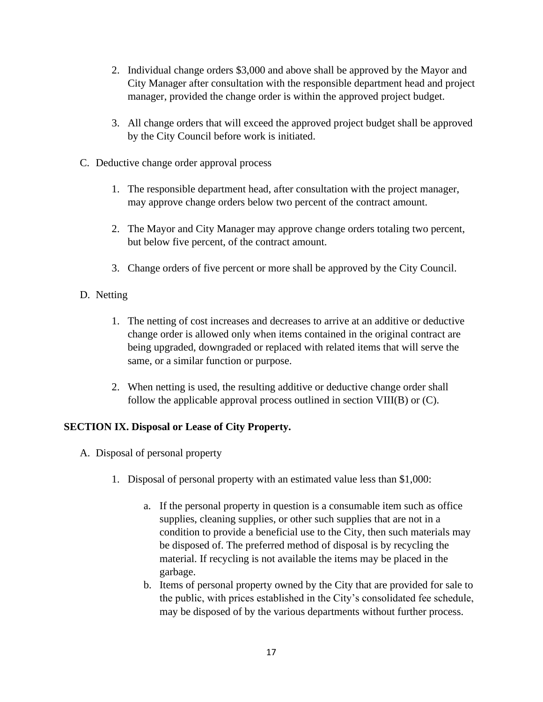- 2. Individual change orders \$3,000 and above shall be approved by the Mayor and City Manager after consultation with the responsible department head and project manager, provided the change order is within the approved project budget.
- 3. All change orders that will exceed the approved project budget shall be approved by the City Council before work is initiated.
- C. Deductive change order approval process
	- 1. The responsible department head, after consultation with the project manager, may approve change orders below two percent of the contract amount.
	- 2. The Mayor and City Manager may approve change orders totaling two percent, but below five percent, of the contract amount.
	- 3. Change orders of five percent or more shall be approved by the City Council.
- D. Netting
	- 1. The netting of cost increases and decreases to arrive at an additive or deductive change order is allowed only when items contained in the original contract are being upgraded, downgraded or replaced with related items that will serve the same, or a similar function or purpose.
	- 2. When netting is used, the resulting additive or deductive change order shall follow the applicable approval process outlined in section VIII(B) or (C).

## **SECTION IX. Disposal or Lease of City Property.**

- A. Disposal of personal property
	- 1. Disposal of personal property with an estimated value less than \$1,000:
		- a. If the personal property in question is a consumable item such as office supplies, cleaning supplies, or other such supplies that are not in a condition to provide a beneficial use to the City, then such materials may be disposed of. The preferred method of disposal is by recycling the material. If recycling is not available the items may be placed in the garbage.
		- b. Items of personal property owned by the City that are provided for sale to the public, with prices established in the City's consolidated fee schedule, may be disposed of by the various departments without further process.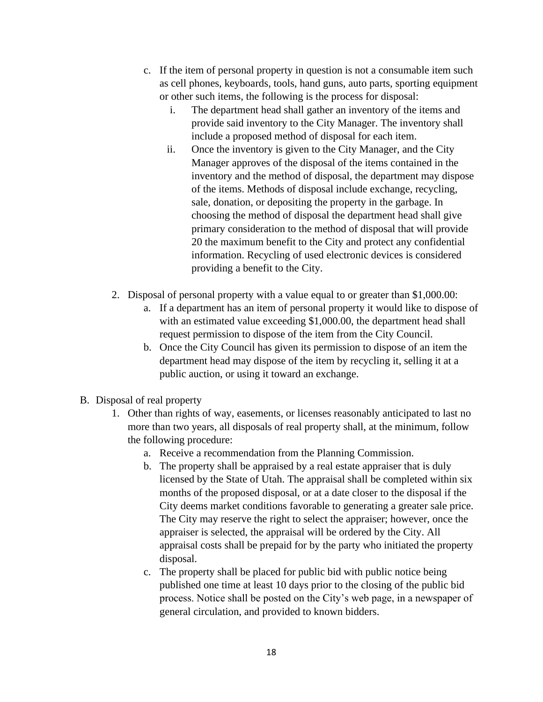- c. If the item of personal property in question is not a consumable item such as cell phones, keyboards, tools, hand guns, auto parts, sporting equipment or other such items, the following is the process for disposal:
	- i. The department head shall gather an inventory of the items and provide said inventory to the City Manager. The inventory shall include a proposed method of disposal for each item.
	- ii. Once the inventory is given to the City Manager, and the City Manager approves of the disposal of the items contained in the inventory and the method of disposal, the department may dispose of the items. Methods of disposal include exchange, recycling, sale, donation, or depositing the property in the garbage. In choosing the method of disposal the department head shall give primary consideration to the method of disposal that will provide 20 the maximum benefit to the City and protect any confidential information. Recycling of used electronic devices is considered providing a benefit to the City.
- 2. Disposal of personal property with a value equal to or greater than \$1,000.00:
	- a. If a department has an item of personal property it would like to dispose of with an estimated value exceeding \$1,000.00, the department head shall request permission to dispose of the item from the City Council.
	- b. Once the City Council has given its permission to dispose of an item the department head may dispose of the item by recycling it, selling it at a public auction, or using it toward an exchange.
- B. Disposal of real property
	- 1. Other than rights of way, easements, or licenses reasonably anticipated to last no more than two years, all disposals of real property shall, at the minimum, follow the following procedure:
		- a. Receive a recommendation from the Planning Commission.
		- b. The property shall be appraised by a real estate appraiser that is duly licensed by the State of Utah. The appraisal shall be completed within six months of the proposed disposal, or at a date closer to the disposal if the City deems market conditions favorable to generating a greater sale price. The City may reserve the right to select the appraiser; however, once the appraiser is selected, the appraisal will be ordered by the City. All appraisal costs shall be prepaid for by the party who initiated the property disposal.
		- c. The property shall be placed for public bid with public notice being published one time at least 10 days prior to the closing of the public bid process. Notice shall be posted on the City's web page, in a newspaper of general circulation, and provided to known bidders.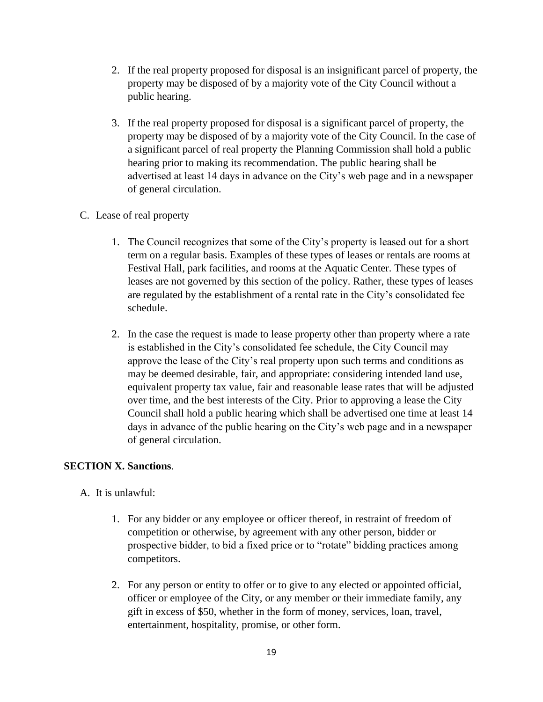- 2. If the real property proposed for disposal is an insignificant parcel of property, the property may be disposed of by a majority vote of the City Council without a public hearing.
- 3. If the real property proposed for disposal is a significant parcel of property, the property may be disposed of by a majority vote of the City Council. In the case of a significant parcel of real property the Planning Commission shall hold a public hearing prior to making its recommendation. The public hearing shall be advertised at least 14 days in advance on the City's web page and in a newspaper of general circulation.

#### C. Lease of real property

- 1. The Council recognizes that some of the City's property is leased out for a short term on a regular basis. Examples of these types of leases or rentals are rooms at Festival Hall, park facilities, and rooms at the Aquatic Center. These types of leases are not governed by this section of the policy. Rather, these types of leases are regulated by the establishment of a rental rate in the City's consolidated fee schedule.
- 2. In the case the request is made to lease property other than property where a rate is established in the City's consolidated fee schedule, the City Council may approve the lease of the City's real property upon such terms and conditions as may be deemed desirable, fair, and appropriate: considering intended land use, equivalent property tax value, fair and reasonable lease rates that will be adjusted over time, and the best interests of the City. Prior to approving a lease the City Council shall hold a public hearing which shall be advertised one time at least 14 days in advance of the public hearing on the City's web page and in a newspaper of general circulation.

#### **SECTION X. Sanctions**.

A. It is unlawful:

- 1. For any bidder or any employee or officer thereof, in restraint of freedom of competition or otherwise, by agreement with any other person, bidder or prospective bidder, to bid a fixed price or to "rotate" bidding practices among competitors.
- 2. For any person or entity to offer or to give to any elected or appointed official, officer or employee of the City, or any member or their immediate family, any gift in excess of \$50, whether in the form of money, services, loan, travel, entertainment, hospitality, promise, or other form.